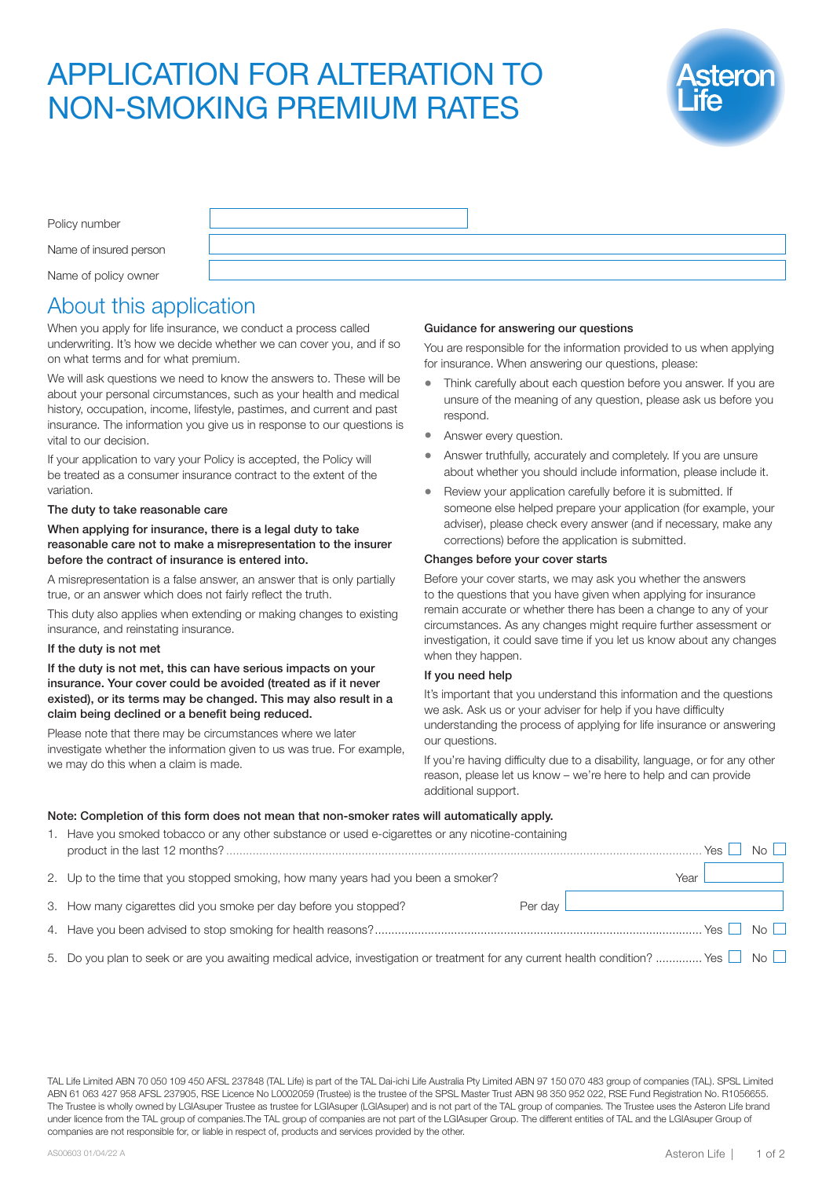# APPLICATION FOR ALTERATION TO NON-SMOKING PREMIUM RATES



| Policy number          |  |
|------------------------|--|
| Name of insured person |  |
| Name of policy owner   |  |

# About this application

When you apply for life insurance, we conduct a process called underwriting. It's how we decide whether we can cover you, and if so on what terms and for what premium.

We will ask questions we need to know the answers to. These will be about your personal circumstances, such as your health and medical history, occupation, income, lifestyle, pastimes, and current and past insurance. The information you give us in response to our questions is vital to our decision.

If your application to vary your Policy is accepted, the Policy will be treated as a consumer insurance contract to the extent of the variation.

#### The duty to take reasonable care

#### When applying for insurance, there is a legal duty to take reasonable care not to make a misrepresentation to the insurer before the contract of insurance is entered into.

A misrepresentation is a false answer, an answer that is only partially true, or an answer which does not fairly reflect the truth.

This duty also applies when extending or making changes to existing insurance, and reinstating insurance.

#### If the duty is not met

If the duty is not met, this can have serious impacts on your insurance. Your cover could be avoided (treated as if it never existed), or its terms may be changed. This may also result in a claim being declined or a benefit being reduced.

Please note that there may be circumstances where we later investigate whether the information given to us was true. For example, we may do this when a claim is made.

## Guidance for answering our questions

You are responsible for the information provided to us when applying for insurance. When answering our questions, please:

- Think carefully about each question before you answer. If you are unsure of the meaning of any question, please ask us before you respond.
- Answer every question.
- Answer truthfully, accurately and completely. If you are unsure about whether you should include information, please include it.
- Review your application carefully before it is submitted. If someone else helped prepare your application (for example, your adviser), please check every answer (and if necessary, make any corrections) before the application is submitted.

## Changes before your cover starts

Before your cover starts, we may ask you whether the answers to the questions that you have given when applying for insurance remain accurate or whether there has been a change to any of your circumstances. As any changes might require further assessment or investigation, it could save time if you let us know about any changes when they happen.

#### If you need help

It's important that you understand this information and the questions we ask. Ask us or your adviser for help if you have difficulty understanding the process of applying for life insurance or answering our questions.

If you're having difficulty due to a disability, language, or for any other reason, please let us know – we're here to help and can provide additional support.

# Note: Completion of this form does not mean that non-smoker rates will automatically apply.

| 1. Have you smoked tobacco or any other substance or used e-cigarettes or any nicotine-containing                                             |           | Yes $ $              | $N_O$ |
|-----------------------------------------------------------------------------------------------------------------------------------------------|-----------|----------------------|-------|
| 2. Up to the time that you stopped smoking, how many years had you been a smoker?                                                             |           | Year                 |       |
| 3. How many cigarettes did you smoke per day before you stopped?                                                                              | Per dav L |                      |       |
|                                                                                                                                               |           | Yes $\Box$ No $\Box$ |       |
| 5. Do you plan to seek or are you awaiting medical advice, investigation or treatment for any current health condition?  Yes $\Box$ No $\Box$ |           |                      |       |

TAL Life Limited ABN 70 050 109 450 AFSL 237848 (TAL Life) is part of the TAL Dai-ichi Life Australia Pty Limited ABN 97 150 070 483 group of companies (TAL). SPSL Limited ABN 61 063 427 958 AFSL 237905, RSE Licence No L0002059 (Trustee) is the trustee of the SPSL Master Trust ABN 98 350 952 022, RSE Fund Registration No. R1056655. The Trustee is wholly owned by LGIAsuper Trustee as trustee for LGIAsuper (LGIAsuper) and is not part of the TAL group of companies. The Trustee uses the Asteron Life brand under licence from the TAL group of companies.The TAL group of companies are not part of the LGIAsuper Group. The different entities of TAL and the LGIAsuper Group of companies are not responsible for, or liable in respect of, products and services provided by the other.